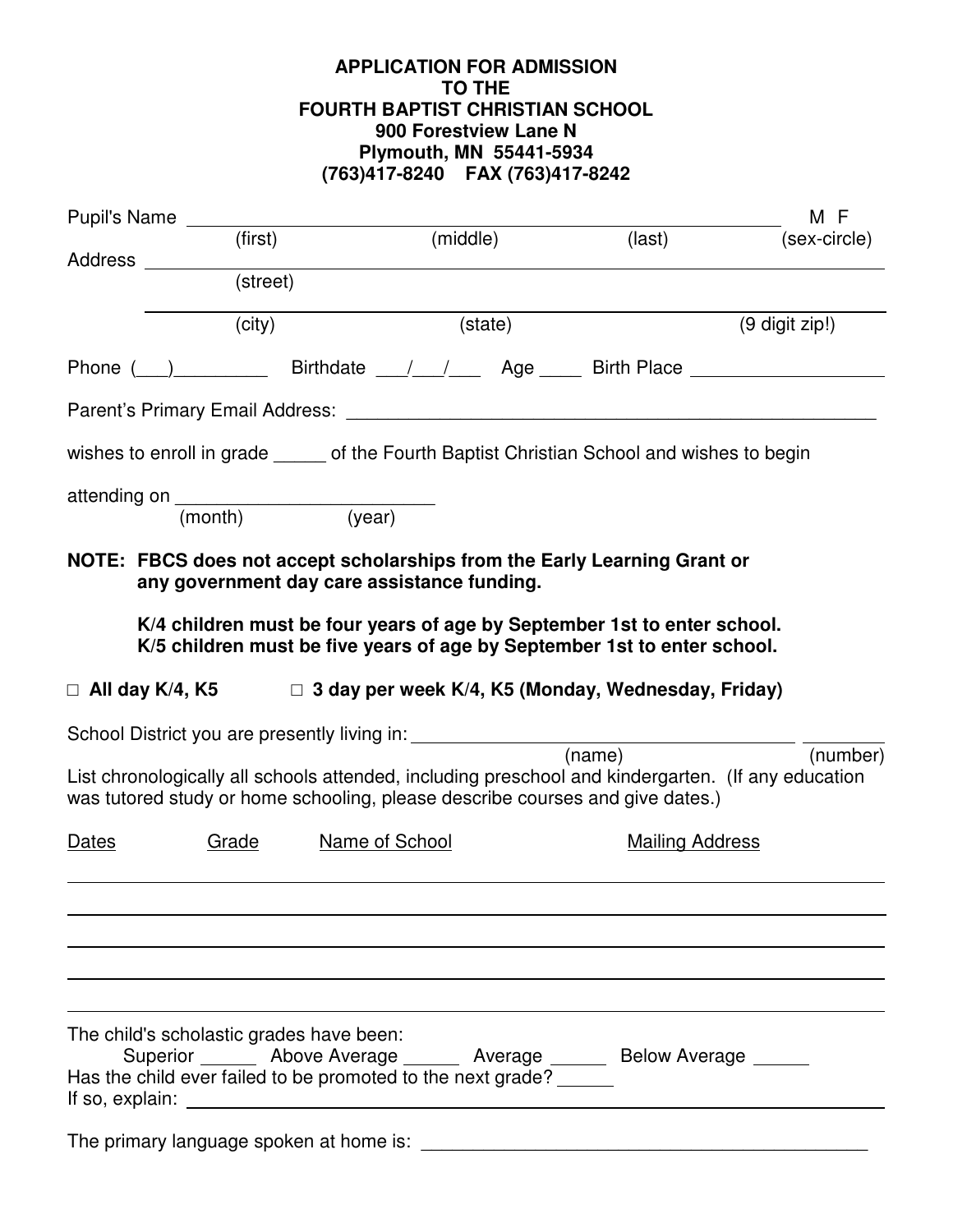## **APPLICATION FOR ADMISSION TO THE FOURTH BAPTIST CHRISTIAN SCHOOL 900 Forestview Lane N Plymouth, MN 55441-5934 (763)417-8240 FAX (763)417-8242**

| Pupil's Name ________                    |          |                                                                                                                                                                                     |        | M F                    |
|------------------------------------------|----------|-------------------------------------------------------------------------------------------------------------------------------------------------------------------------------------|--------|------------------------|
|                                          | (first)  | (middle)                                                                                                                                                                            | (last) | (sex-circle)           |
|                                          | (street) |                                                                                                                                                                                     |        |                        |
|                                          | (city)   | (state)                                                                                                                                                                             |        | $(9$ digit zip!)       |
|                                          |          | Phone ( ) Birthdate / / / Age Birth Place _ / / Contract Place _ / Contract Place _ _ _ _ _ _ _ _ _ _ _ _ _ _                                                                       |        |                        |
|                                          |          |                                                                                                                                                                                     |        |                        |
|                                          |          | wishes to enroll in grade _______ of the Fourth Baptist Christian School and wishes to begin                                                                                        |        |                        |
|                                          |          | attending on (month) (year)                                                                                                                                                         |        |                        |
|                                          |          | NOTE: FBCS does not accept scholarships from the Early Learning Grant or<br>any government day care assistance funding.                                                             |        |                        |
|                                          |          | K/4 children must be four years of age by September 1st to enter school.<br>K/5 children must be five years of age by September 1st to enter school.                                |        |                        |
| $\Box$ All day K/4, K5                   |          | $\Box$ 3 day per week K/4, K5 (Monday, Wednesday, Friday)                                                                                                                           |        |                        |
|                                          |          |                                                                                                                                                                                     |        |                        |
|                                          |          | List chronologically all schools attended, including preschool and kindergarten. (If any education<br>was tutored study or home schooling, please describe courses and give dates.) | (name) | (number)               |
| Dates                                    | Grade    | Name of School                                                                                                                                                                      |        | <b>Mailing Address</b> |
|                                          |          |                                                                                                                                                                                     |        |                        |
|                                          |          |                                                                                                                                                                                     |        |                        |
|                                          |          |                                                                                                                                                                                     |        |                        |
| The child's scholastic grades have been: |          | Superior ________ Above Average _______ Average _______ Below Average ______<br>Has the child ever failed to be promoted to the next grade?                                         |        |                        |
|                                          |          |                                                                                                                                                                                     |        |                        |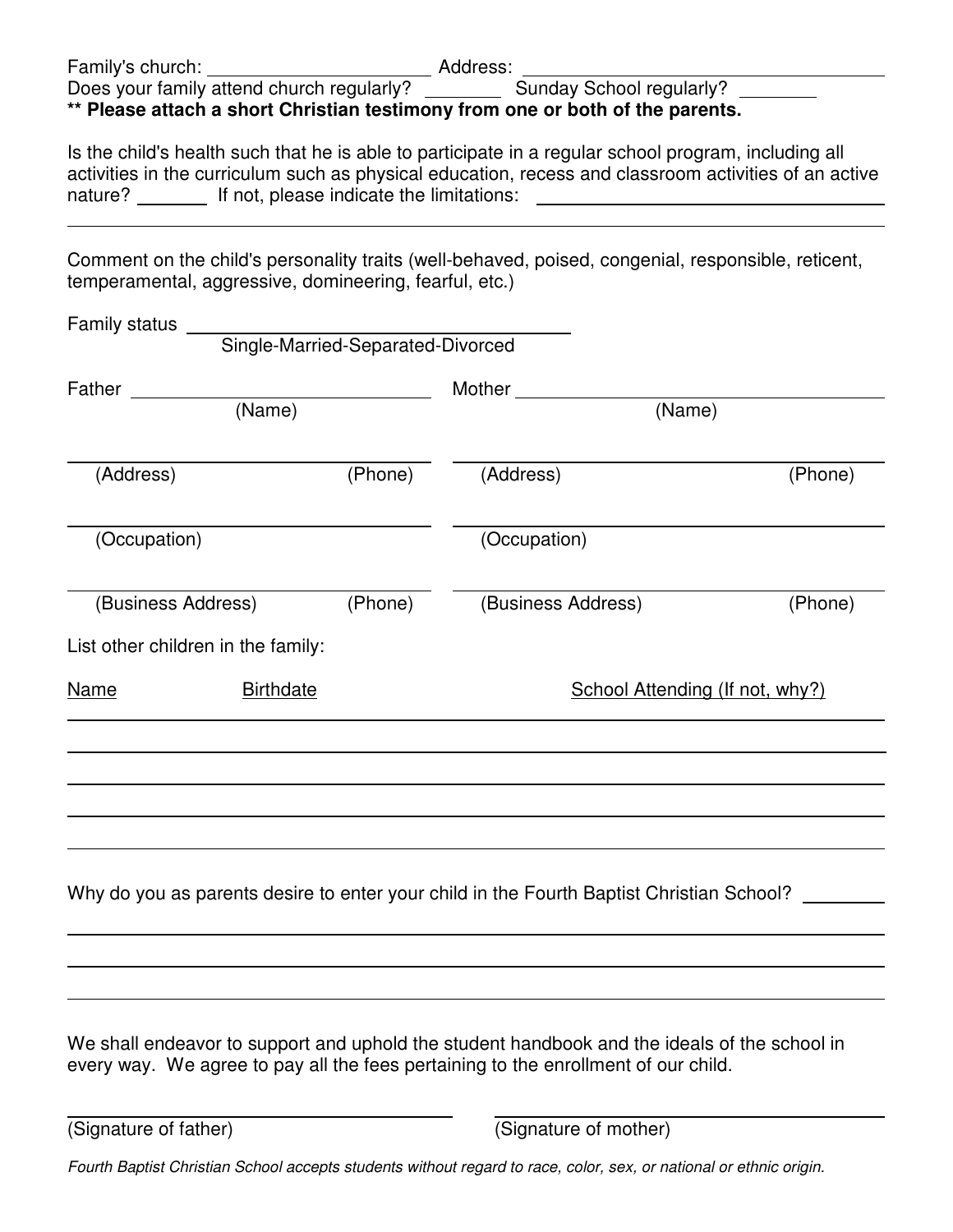| Family's church:                                                              |                                           | Address: |                          |  |  |
|-------------------------------------------------------------------------------|-------------------------------------------|----------|--------------------------|--|--|
|                                                                               | Does your family attend church regularly? |          | Sunday School regularly? |  |  |
| ** Please attach a short Christian testimony from one or both of the parents. |                                           |          |                          |  |  |

Is the child's health such that he is able to participate in a regular school program, including all activities in the curriculum such as physical education, recess and classroom activities of an active nature? If not, please indicate the limitations: \_\_\_\_\_\_\_\_\_\_\_\_\_\_\_\_\_\_\_\_\_\_\_\_\_\_\_\_\_\_\_

Comment on the child's personality traits (well-behaved, poised, congenial, responsible, reticent, temperamental, aggressive, domineering, fearful, etc.)

| Family status                      |                                   |                                                                                                                                                                                                                                     |         |  |
|------------------------------------|-----------------------------------|-------------------------------------------------------------------------------------------------------------------------------------------------------------------------------------------------------------------------------------|---------|--|
|                                    | Single-Married-Separated-Divorced |                                                                                                                                                                                                                                     |         |  |
|                                    |                                   | <b>Mother</b> Motor Motor Service Service Service Service Service Service Service Service Service Service Service Service Service Service Service Service Service Service Service Service Service Service Service Service Service S |         |  |
| Father (Name)                      |                                   | (Name)                                                                                                                                                                                                                              |         |  |
| (Address)                          | (Phone)                           | (Address)                                                                                                                                                                                                                           | (Phone) |  |
| (Occupation)                       |                                   | (Occupation)                                                                                                                                                                                                                        |         |  |
| (Business Address)                 | (Phone)                           | (Business Address)                                                                                                                                                                                                                  | (Phone) |  |
| List other children in the family: |                                   |                                                                                                                                                                                                                                     |         |  |
| <b>Name</b><br><b>Birthdate</b>    |                                   | School Attending (If not, why?)                                                                                                                                                                                                     |         |  |
|                                    |                                   |                                                                                                                                                                                                                                     |         |  |
|                                    |                                   |                                                                                                                                                                                                                                     |         |  |
|                                    |                                   |                                                                                                                                                                                                                                     |         |  |
|                                    |                                   |                                                                                                                                                                                                                                     |         |  |
|                                    |                                   | Why do you as parents desire to enter your child in the Fourth Baptist Christian School? _____                                                                                                                                      |         |  |
|                                    |                                   |                                                                                                                                                                                                                                     |         |  |
|                                    |                                   |                                                                                                                                                                                                                                     |         |  |
|                                    |                                   |                                                                                                                                                                                                                                     |         |  |

We shall endeavor to support and uphold the student handbook and the ideals of the school in every way. We agree to pay all the fees pertaining to the enrollment of our child.

(Signature of father) (Signature of mother)

Fourth Baptist Christian School accepts students without regard to race, color, sex, or national or ethnic origin.